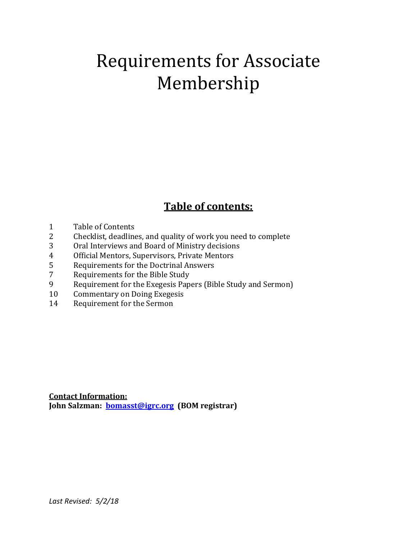# Requirements for Associate Membership

# **Table of contents:**

- 1 Table of Contents
- 2 Checklist, deadlines, and quality of work you need to complete
- 3 Oral Interviews and Board of Ministry decisions
- 4 Official Mentors, Supervisors, Private Mentors
- 5 Requirements for the Doctrinal Answers
- 7 Requirements for the Bible Study
- 9 Requirement for the Exegesis Papers (Bible Study and Sermon)
- 10 Commentary on Doing Exegesis
- 14 Requirement for the Sermon

**Contact Information: John Salzman: [bomasst@igrc.org](mailto:bomasst@igrc.org) (BOM registrar)**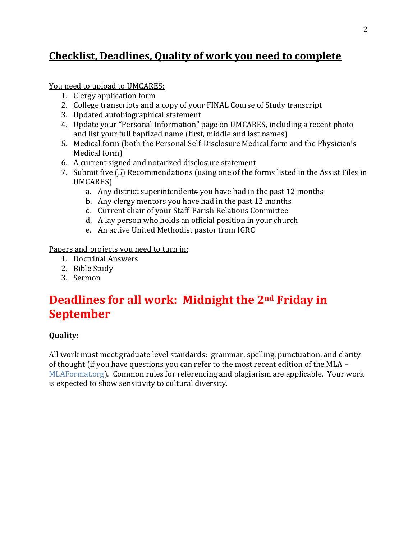### **Checklist, Deadlines, Quality of work you need to complete**

You need to upload to UMCARES:

- 1. Clergy application form
- 2. College transcripts and a copy of your FINAL Course of Study transcript
- 3. Updated autobiographical statement
- 4. Update your "Personal Information" page on UMCARES, including a recent photo and list your full baptized name (first, middle and last names)
- 5. Medical form (both the Personal Self-Disclosure Medical form and the Physician's Medical form)
- 6. A current signed and notarized disclosure statement
- 7. Submit five (5) Recommendations (using one of the forms listed in the Assist Files in UMCARES)
	- a. Any district superintendents you have had in the past 12 months
	- b. Any clergy mentors you have had in the past 12 months
	- c. Current chair of your Staff-Parish Relations Committee
	- d. A lay person who holds an official position in your church
	- e. An active United Methodist pastor from IGRC

Papers and projects you need to turn in:

- 1. Doctrinal Answers
- 2. Bible Study
- 3. Sermon

# **Deadlines for all work: Midnight the 2nd Friday in September**

### **Quality**:

All work must meet graduate level standards: grammar, spelling, punctuation, and clarity of thought (if you have questions you can refer to the most recent edition of the MLA – MLAFormat.org). Common rules for referencing and plagiarism are applicable. Your work is expected to show sensitivity to cultural diversity.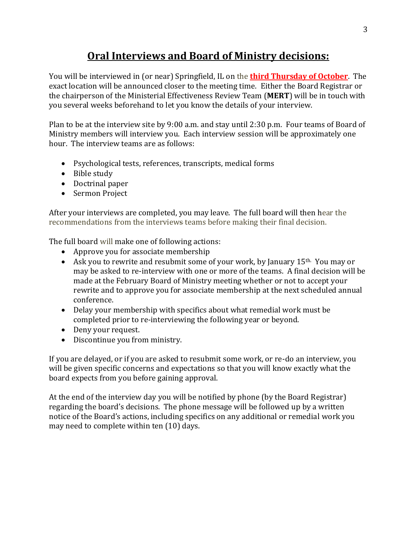# **Oral Interviews and Board of Ministry decisions:**

You will be interviewed in (or near) Springfield, IL on the **third Thursday of October**. The exact location will be announced closer to the meeting time. Either the Board Registrar or the chairperson of the Ministerial Effectiveness Review Team (**MERT**) will be in touch with you several weeks beforehand to let you know the details of your interview.

Plan to be at the interview site by 9:00 a.m. and stay until 2:30 p.m. Four teams of Board of Ministry members will interview you. Each interview session will be approximately one hour. The interview teams are as follows:

- Psychological tests, references, transcripts, medical forms
- Bible study
- Doctrinal paper
- Sermon Project

After your interviews are completed, you may leave. The full board will then hear the recommendations from the interviews teams before making their final decision.

The full board will make one of following actions:

- Approve you for associate membership
- Ask you to rewrite and resubmit some of your work, by January 15<sup>th.</sup> You may or may be asked to re-interview with one or more of the teams. A final decision will be made at the February Board of Ministry meeting whether or not to accept your rewrite and to approve you for associate membership at the next scheduled annual conference.
- Delay your membership with specifics about what remedial work must be completed prior to re-interviewing the following year or beyond.
- Deny your request.
- Discontinue you from ministry.

If you are delayed, or if you are asked to resubmit some work, or re-do an interview, you will be given specific concerns and expectations so that you will know exactly what the board expects from you before gaining approval.

At the end of the interview day you will be notified by phone (by the Board Registrar) regarding the board's decisions. The phone message will be followed up by a written notice of the Board's actions, including specifics on any additional or remedial work you may need to complete within ten (10) days.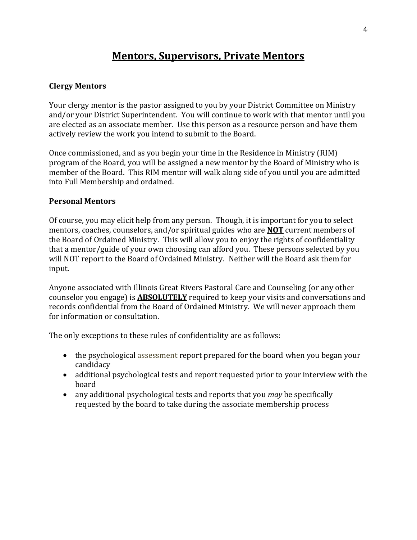### **Mentors, Supervisors, Private Mentors**

#### **Clergy Mentors**

Your clergy mentor is the pastor assigned to you by your District Committee on Ministry and/or your District Superintendent. You will continue to work with that mentor until you are elected as an associate member. Use this person as a resource person and have them actively review the work you intend to submit to the Board.

Once commissioned, and as you begin your time in the Residence in Ministry (RIM) program of the Board, you will be assigned a new mentor by the Board of Ministry who is member of the Board. This RIM mentor will walk along side of you until you are admitted into Full Membership and ordained.

#### **Personal Mentors**

Of course, you may elicit help from any person. Though, it is important for you to select mentors, coaches, counselors, and/or spiritual guides who are **NOT** current members of the Board of Ordained Ministry. This will allow you to enjoy the rights of confidentiality that a mentor/guide of your own choosing can afford you. These persons selected by you will NOT report to the Board of Ordained Ministry. Neither will the Board ask them for input.

Anyone associated with Illinois Great Rivers Pastoral Care and Counseling (or any other counselor you engage) is **ABSOLUTELY** required to keep your visits and conversations and records confidential from the Board of Ordained Ministry. We will never approach them for information or consultation.

The only exceptions to these rules of confidentiality are as follows:

- the psychological assessment report prepared for the board when you began your candidacy
- additional psychological tests and report requested prior to your interview with the board
- any additional psychological tests and reports that you *may* be specifically requested by the board to take during the associate membership process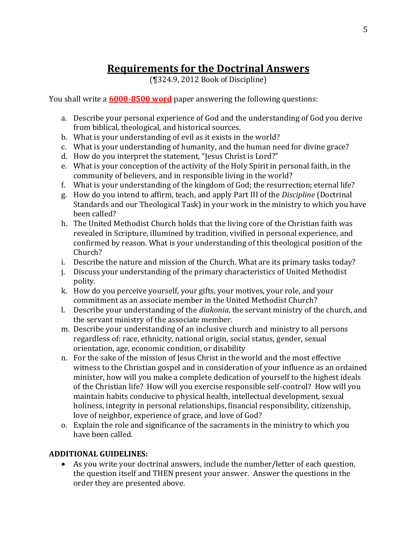# **Requirements for the Doctrinal Answers**

(¶324.9, 2012 Book of Discipline)

You shall write a **6000-8500 word** paper answering the following questions:

- a. Describe your personal experience of God and the understanding of God you derive from biblical, theological, and historical sources.
- b. What is your understanding of evil as it exists in the world?
- c. What is your understanding of humanity, and the human need for divine grace?
- d. How do you interpret the statement, "Jesus Christ is Lord?"
- e. What is your conception of the activity of the Holy Spirit in personal faith, in the community of believers, and in responsible living in the world?
- f. What is your understanding of the kingdom of God; the resurrection; eternal life?
- g. How do you intend to affirm, teach, and apply Part III of the *Discipline* (Doctrinal Standards and our Theological Task) in your work in the ministry to which you have been called?
- h. The United Methodist Church holds that the living core of the Christian faith was revealed in Scripture, illumined by tradition, vivified in personal experience, and confirmed by reason. What is your understanding of this theological position of the Church?
- i. Describe the nature and mission of the Church. What are its primary tasks today?
- j. Discuss your understanding of the primary characteristics of United Methodist polity.
- k. How do you perceive yourself, your gifts, your motives, your role, and your commitment as an associate member in the United Methodist Church?
- l. Describe your understanding of the *diakonia*, the servant ministry of the church, and the servant ministry of the associate member.
- m. Describe your understanding of an inclusive church and ministry to all persons regardless of: race, ethnicity, national origin, social status, gender, sexual orientation, age, economic condition, or disability
- n. For the sake of the mission of Jesus Christ in the world and the most effective witness to the Christian gospel and in consideration of your influence as an ordained minister, how will you make a complete dedication of yourself to the highest ideals of the Christian life? How will you exercise responsible self-control? How will you maintain habits conducive to physical health, intellectual development, sexual holiness, integrity in personal relationships, financial responsibility, citizenship, love of neighbor, experience of grace, and love of God?
- o. Explain the role and significance of the sacraments in the ministry to which you have been called.

### **ADDITIONAL GUIDELINES:**

• As you write your doctrinal answers, include the number/letter of each question, the question itself and THEN present your answer. Answer the questions in the order they are presented above.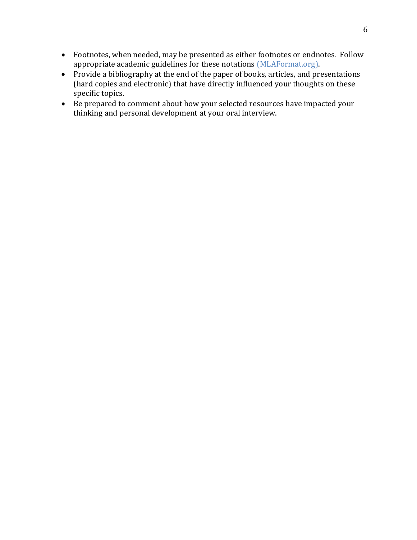- Footnotes, when needed, may be presented as either footnotes or endnotes. Follow appropriate academic guidelines for these notations (MLAFormat.org).
- Provide a bibliography at the end of the paper of books, articles, and presentations (hard copies and electronic) that have directly influenced your thoughts on these specific topics.
- Be prepared to comment about how your selected resources have impacted your thinking and personal development at your oral interview.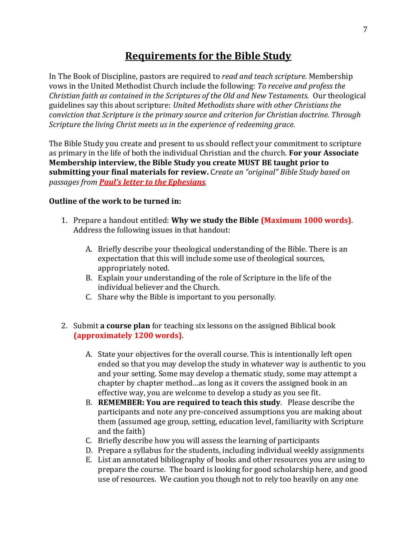### **Requirements for the Bible Study**

In The Book of Discipline, pastors are required to *read and teach scripture.* Membership vows in the United Methodist Church include the following: *To receive and profess the Christian faith as contained in the Scriptures of the Old and New Testaments.* Our theological guidelines say this about scripture: *United Methodists share with other Christians the conviction that Scripture is the primary source and criterion for Christian doctrine. Through Scripture the living Christ meets us in the experience of redeeming grace.* 

The Bible Study you create and present to us should reflect your commitment to scripture as primary in the life of both the individual Christian and the church. **For your Associate Membership interview, the Bible Study you create MUST BE taught prior to submitting your final materials for review.** C*reate an "original" Bible Study based on passages from Paul's letter to the Ephesians.*

#### **Outline of the work to be turned in:**

- 1. Prepare a handout entitled: **Why we study the Bible (Maximum 1000 words)**. Address the following issues in that handout:
	- A. Briefly describe your theological understanding of the Bible. There is an expectation that this will include some use of theological sources, appropriately noted.
	- B. Explain your understanding of the role of Scripture in the life of the individual believer and the Church.
	- C. Share why the Bible is important to you personally.
- 2. Submit **a course plan** for teaching six lessons on the assigned Biblical book **(approximately 1200 words)**.
	- A. State your objectives for the overall course. This is intentionally left open ended so that you may develop the study in whatever way is authentic to you and your setting. Some may develop a thematic study, some may attempt a chapter by chapter method…as long as it covers the assigned book in an effective way, you are welcome to develop a study as you see fit.
	- B. **REMEMBER: You are required to teach this study**. Please describe the participants and note any pre-conceived assumptions you are making about them (assumed age group, setting, education level, familiarity with Scripture and the faith)
	- C. Briefly describe how you will assess the learning of participants
	- D. Prepare a syllabus for the students, including individual weekly assignments
	- E. List an annotated bibliography of books and other resources you are using to prepare the course. The board is looking for good scholarship here, and good use of resources. We caution you though not to rely too heavily on any one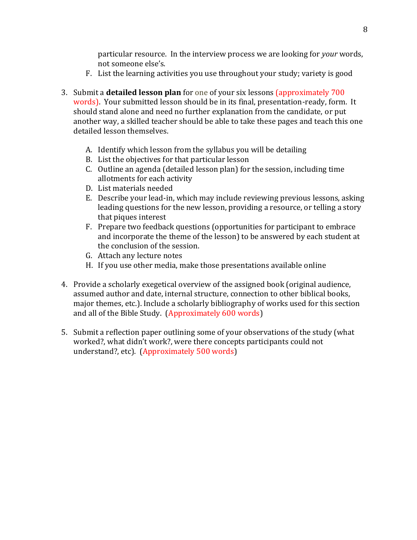particular resource. In the interview process we are looking for *your* words, not someone else's.

- F. List the learning activities you use throughout your study; variety is good
- 3. Submit a **detailed lesson plan** for one of your six lessons (approximately 700 words). Your submitted lesson should be in its final, presentation-ready, form. It should stand alone and need no further explanation from the candidate, or put another way, a skilled teacher should be able to take these pages and teach this one detailed lesson themselves.
	- A. Identify which lesson from the syllabus you will be detailing
	- B. List the objectives for that particular lesson
	- C. Outline an agenda (detailed lesson plan) for the session, including time allotments for each activity
	- D. List materials needed
	- E. Describe your lead-in, which may include reviewing previous lessons, asking leading questions for the new lesson, providing a resource, or telling a story that piques interest
	- F. Prepare two feedback questions (opportunities for participant to embrace and incorporate the theme of the lesson) to be answered by each student at the conclusion of the session.
	- G. Attach any lecture notes
	- H. If you use other media, make those presentations available online
- 4. Provide a scholarly exegetical overview of the assigned book (original audience, assumed author and date, internal structure, connection to other biblical books, major themes, etc.). Include a scholarly bibliography of works used for this section and all of the Bible Study. (Approximately 600 words)
- 5. Submit a reflection paper outlining some of your observations of the study (what worked?, what didn't work?, were there concepts participants could not understand?, etc). (Approximately 500 words)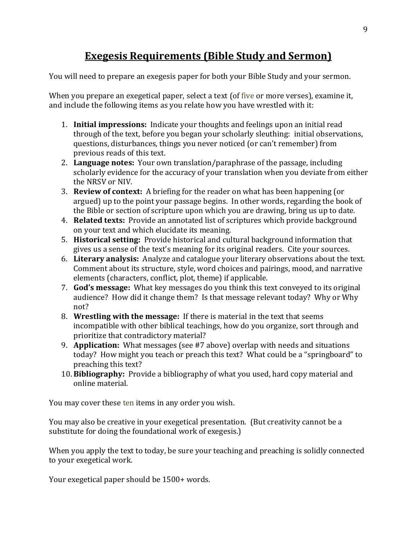## **Exegesis Requirements (Bible Study and Sermon)**

You will need to prepare an exegesis paper for both your Bible Study and your sermon.

When you prepare an exegetical paper, select a text (of five or more verses), examine it, and include the following items as you relate how you have wrestled with it:

- 1. **Initial impressions:** Indicate your thoughts and feelings upon an initial read through of the text, before you began your scholarly sleuthing: initial observations, questions, disturbances, things you never noticed (or can't remember) from previous reads of this text.
- 2. **Language notes:** Your own translation/paraphrase of the passage, including scholarly evidence for the accuracy of your translation when you deviate from either the NRSV or NIV.
- 3. **Review of context:** A briefing for the reader on what has been happening (or argued) up to the point your passage begins. In other words, regarding the book of the Bible or section of scripture upon which you are drawing, bring us up to date.
- 4. **Related texts:** Provide an annotated list of scriptures which provide background on your text and which elucidate its meaning.
- 5. **Historical setting:** Provide historical and cultural background information that gives us a sense of the text's meaning for its original readers. Cite your sources.
- 6. **Literary analysis:** Analyze and catalogue your literary observations about the text. Comment about its structure, style, word choices and pairings, mood, and narrative elements (characters, conflict, plot, theme) if applicable.
- 7. **God's message:** What key messages do you think this text conveyed to its original audience? How did it change them? Is that message relevant today? Why or Why not?
- 8. **Wrestling with the message:** If there is material in the text that seems incompatible with other biblical teachings, how do you organize, sort through and prioritize that contradictory material?
- 9. **Application:** What messages (see #7 above) overlap with needs and situations today? How might you teach or preach this text? What could be a "springboard" to preaching this text?
- 10. **Bibliography:** Provide a bibliography of what you used, hard copy material and online material.

You may cover these ten items in any order you wish.

You may also be creative in your exegetical presentation. (But creativity cannot be a substitute for doing the foundational work of exegesis.)

When you apply the text to today, be sure your teaching and preaching is solidly connected to your exegetical work.

Your exegetical paper should be 1500+ words.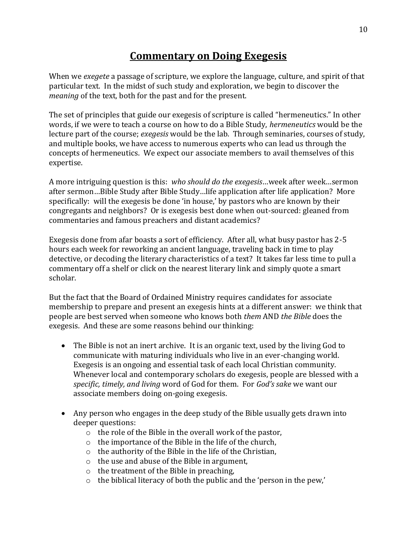### **Commentary on Doing Exegesis**

When we *exegete* a passage of scripture, we explore the language, culture, and spirit of that particular text. In the midst of such study and exploration, we begin to discover the *meaning* of the text, both for the past and for the present.

The set of principles that guide our exegesis of scripture is called "hermeneutics." In other words, if we were to teach a course on how to do a Bible Study, *hermeneutics* would be the lecture part of the course; *exegesis* would be the lab. Through seminaries, courses of study, and multiple books, we have access to numerous experts who can lead us through the concepts of hermeneutics. We expect our associate members to avail themselves of this expertise.

A more intriguing question is this: *who should do the exegesis*…week after week…sermon after sermon…Bible Study after Bible Study…life application after life application? More specifically: will the exegesis be done 'in house,' by pastors who are known by their congregants and neighbors? Or is exegesis best done when out-sourced: gleaned from commentaries and famous preachers and distant academics?

Exegesis done from afar boasts a sort of efficiency. After all, what busy pastor has 2-5 hours each week for reworking an ancient language, traveling back in time to play detective, or decoding the literary characteristics of a text? It takes far less time to pull a commentary off a shelf or click on the nearest literary link and simply quote a smart scholar.

But the fact that the Board of Ordained Ministry requires candidates for associate membership to prepare and present an exegesis hints at a different answer: we think that people are best served when someone who knows both *them* AND *the Bible* does the exegesis. And these are some reasons behind our thinking:

- The Bible is not an inert archive. It is an organic text, used by the living God to communicate with maturing individuals who live in an ever-changing world. Exegesis is an ongoing and essential task of each local Christian community. Whenever local and contemporary scholars do exegesis, people are blessed with a *specific, timely, and living* word of God for them. For *God's sake* we want our associate members doing on-going exegesis.
- Any person who engages in the deep study of the Bible usually gets drawn into deeper questions:
	- o the role of the Bible in the overall work of the pastor,
	- o the importance of the Bible in the life of the church,
	- o the authority of the Bible in the life of the Christian,
	- o the use and abuse of the Bible in argument,
	- o the treatment of the Bible in preaching,
	- o the biblical literacy of both the public and the 'person in the pew,'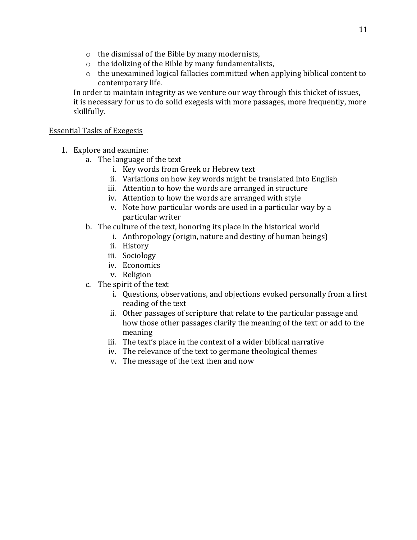- o the dismissal of the Bible by many modernists,
- o the idolizing of the Bible by many fundamentalists,
- o the unexamined logical fallacies committed when applying biblical content to contemporary life.

In order to maintain integrity as we venture our way through this thicket of issues, it is necessary for us to do solid exegesis with more passages, more frequently, more skillfully.

#### Essential Tasks of Exegesis

- 1. Explore and examine:
	- a. The language of the text
		- i. Key words from Greek or Hebrew text
		- ii. Variations on how key words might be translated into English
		- iii. Attention to how the words are arranged in structure
		- iv. Attention to how the words are arranged with style
		- v. Note how particular words are used in a particular way by a particular writer
	- b. The culture of the text, honoring its place in the historical world
		- i. Anthropology (origin, nature and destiny of human beings)
		- ii. History
		- iii. Sociology
		- iv. Economics
		- v. Religion
	- c. The spirit of the text
		- i. Questions, observations, and objections evoked personally from a first reading of the text
		- ii. Other passages of scripture that relate to the particular passage and how those other passages clarify the meaning of the text or add to the meaning
		- iii. The text's place in the context of a wider biblical narrative
		- iv. The relevance of the text to germane theological themes
		- v. The message of the text then and now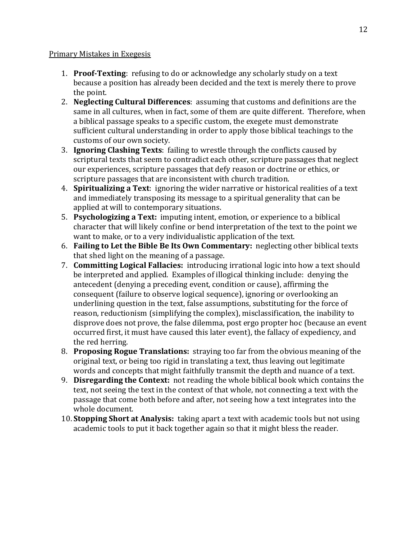#### Primary Mistakes in Exegesis

- 1. **Proof-Texting**: refusing to do or acknowledge any scholarly study on a text because a position has already been decided and the text is merely there to prove the point.
- 2. **Neglecting Cultural Differences**: assuming that customs and definitions are the same in all cultures, when in fact, some of them are quite different. Therefore, when a biblical passage speaks to a specific custom, the exegete must demonstrate sufficient cultural understanding in order to apply those biblical teachings to the customs of our own society.
- 3. **Ignoring Clashing Texts**: failing to wrestle through the conflicts caused by scriptural texts that seem to contradict each other, scripture passages that neglect our experiences, scripture passages that defy reason or doctrine or ethics, or scripture passages that are inconsistent with church tradition.
- 4. **Spiritualizing a Text**: ignoring the wider narrative or historical realities of a text and immediately transposing its message to a spiritual generality that can be applied at will to contemporary situations.
- 5. **Psychologizing a Text:** imputing intent, emotion, or experience to a biblical character that will likely confine or bend interpretation of the text to the point we want to make, or to a very individualistic application of the text.
- 6. **Failing to Let the Bible Be Its Own Commentary:** neglecting other biblical texts that shed light on the meaning of a passage.
- 7. **Committing Logical Fallacies:** introducing irrational logic into how a text should be interpreted and applied. Examples of illogical thinking include: denying the antecedent (denying a preceding event, condition or cause), affirming the consequent (failure to observe logical sequence), ignoring or overlooking an underlining question in the text, false assumptions, substituting for the force of reason, reductionism (simplifying the complex), misclassification, the inability to disprove does not prove, the false dilemma, post ergo propter hoc (because an event occurred first, it must have caused this later event), the fallacy of expediency, and the red herring.
- 8. **Proposing Rogue Translations:** straying too far from the obvious meaning of the original text, or being too rigid in translating a text, thus leaving out legitimate words and concepts that might faithfully transmit the depth and nuance of a text.
- 9. **Disregarding the Context:** not reading the whole biblical book which contains the text, not seeing the text in the context of that whole, not connecting a text with the passage that come both before and after, not seeing how a text integrates into the whole document.
- 10. **Stopping Short at Analysis:** taking apart a text with academic tools but not using academic tools to put it back together again so that it might bless the reader.